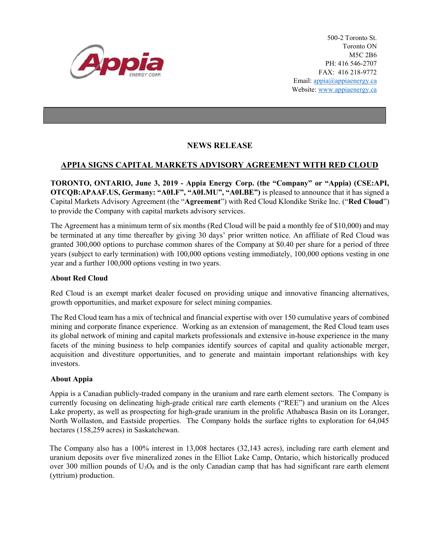

500-2 Toronto St. Toronto ON M5C 2B6 PH: 416 546-2707 FAX: 416 218-9772 Email: appia@appiaenergy.ca Website: www.appiaenergy.ca

## NEWS RELEASE

## APPIA SIGNS CAPITAL MARKETS ADVISORY AGREEMENT WITH RED CLOUD

TORONTO, ONTARIO, June 3, 2019 - Appia Energy Corp. (the "Company" or "Appia) (CSE:API, OTCQB:APAAF.US, Germany: "A0I.F", "A0I.MU", "A0I.BE") is pleased to announce that it has signed a Capital Markets Advisory Agreement (the "Agreement") with Red Cloud Klondike Strike Inc. ("Red Cloud") to provide the Company with capital markets advisory services.

The Agreement has a minimum term of six months (Red Cloud will be paid a monthly fee of \$10,000) and may be terminated at any time thereafter by giving 30 days' prior written notice. An affiliate of Red Cloud was granted 300,000 options to purchase common shares of the Company at \$0.40 per share for a period of three years (subject to early termination) with 100,000 options vesting immediately, 100,000 options vesting in one year and a further 100,000 options vesting in two years.

## About Red Cloud

Red Cloud is an exempt market dealer focused on providing unique and innovative financing alternatives, growth opportunities, and market exposure for select mining companies.

The Red Cloud team has a mix of technical and financial expertise with over 150 cumulative years of combined mining and corporate finance experience. Working as an extension of management, the Red Cloud team uses its global network of mining and capital markets professionals and extensive in-house experience in the many facets of the mining business to help companies identify sources of capital and quality actionable merger, acquisition and divestiture opportunities, and to generate and maintain important relationships with key investors.

## About Appia

Appia is a Canadian publicly-traded company in the uranium and rare earth element sectors. The Company is currently focusing on delineating high-grade critical rare earth elements ("REE") and uranium on the Alces Lake property, as well as prospecting for high-grade uranium in the prolific Athabasca Basin on its Loranger, North Wollaston, and Eastside properties. The Company holds the surface rights to exploration for 64,045 hectares (158,259 acres) in Saskatchewan.

The Company also has a 100% interest in 13,008 hectares (32,143 acres), including rare earth element and uranium deposits over five mineralized zones in the Elliot Lake Camp, Ontario, which historically produced over 300 million pounds of  $U_3O_8$  and is the only Canadian camp that has had significant rare earth element (yttrium) production.